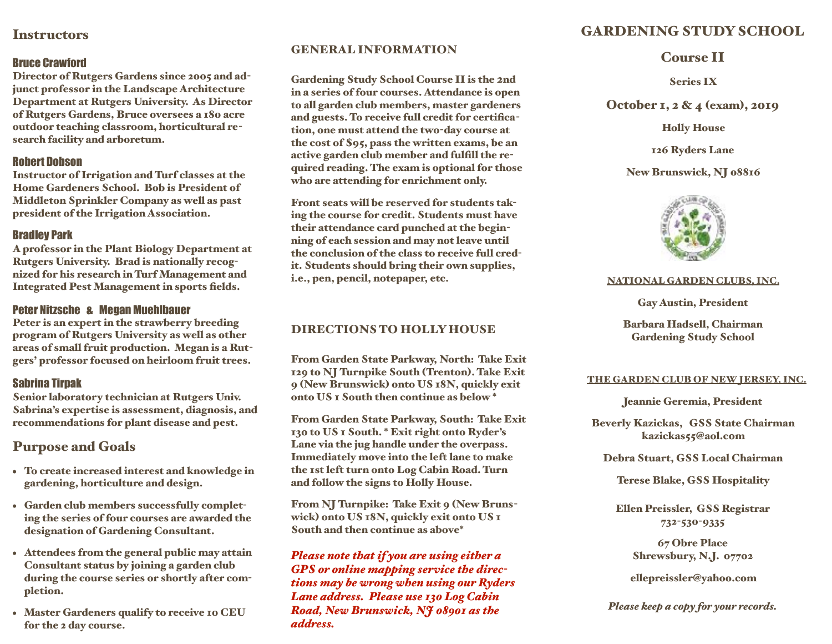# **Instructors**

## Bruce Crawford

Director of Rutgers Gardens since 2005 and adjunct professor in the Landscape Architecture Department at Rutgers University. As Director of Rutgers Gardens, Bruce oversees a 180 acre outdoor teaching classroom, horticultural research facility and arboretum.

## Robert Dobson

Instructor of Irrigation and Turf classes at the Home Gardeners School. Bob is President of Middleton Sprinkler Company as well as past president of the Irrigation Association.

## Bradley Park

A professor in the Plant Biology Department at Rutgers University. Brad is nationally recognized for his research in Turf Management and Integrated Pest Management in sports fields.

## Peter Nitzsche & Megan Muehlbauer

Peter is an expert in the strawberry breeding program of Rutgers University as well as other areas of small fruit production. Megan is a Rutgers' professor focused on heirloom fruit trees.

## Sabrina Tirpak

Senior laboratory technician at Rutgers Univ. Sabrina's expertise is assessment, diagnosis, and recommendations for plant disease and pest.

# Purpose and Goals

- To create increased interest and knowledge in gardening, horticulture and design.
- Garden club members successfully completing the series of four courses are awarded the designation of Gardening Consultant.
- Attendees from the general public may attain Consultant status by joining a garden club during the course series or shortly after completion.
- Master Gardeners qualify to receive 10 CEU for the 2 day course.

## GENERAL INFORMATION

Gardening Study School Course II is the 2nd in a series of four courses. Attendance is open to all garden club members, master gardeners and guests. To receive full credit for certification, one must attend the two-day course at the cost of \$95, pass the written exams, be an active garden club member and fulfill the required reading. The exam is optional for those who are attending for enrichment only.

Front seats will be reserved for students taking the course for credit. Students must have their attendance card punched at the beginning of each session and may not leave until the conclusion of the class to receive full credit. Students should bring their own supplies, i.e., pen, pencil, notepaper, etc.

# DIRECTIONS TO HOLLY HOUSE

From Garden State Parkway, North: Take Exit 129 to NJ Turnpike South (Trenton). Take Exit 9 (New Brunswick) onto US 18N, quickly exit onto US 1 South then continue as below \*

From Garden State Parkway, South: Take Exit 130 to US 1 South. \* Exit right onto Ryder's Lane via the jug handle under the overpass. Immediately move into the left lane to make the 1st left turn onto Log Cabin Road. Turn and follow the signs to Holly House.

From NJ Turnpike: Take Exit 9 (New Brunswick) onto US 18N, quickly exit onto US 1 South and then continue as above\*

*Please note that if you are using either a GPS or online mapping service the directions may be wrong when using our Ryders Lane address. Please use 130 Log Cabin Road, New Brunswick, NJ 08901 as the address.*

# GARDENING STUDY SCHOOL

# Course II

Series IX

October 1, 2 & 4 (exam), 2019

Holly House

126 Ryders Lane

New Brunswick, NJ 08816



## NATIONAL GARDEN CLUBS, INC.

Gay Austin, President

Barbara Hadsell, Chairman Gardening Study School

## THE GARDEN CLUB OF NEW JERSEY, INC.

Jeannie Geremia, President

Beverly Kazickas, GSS State Chairman kazickas55@aol.c0m

Debra Stuart, GSS Local Chairman

Terese Blake, GSS Hospitality

Ellen Preissler, GSS Registrar 732-530-9335

> 67 Obre Place Shrewsbury, N.J. 07702

ellepreissler@yahoo.com

*Please keep a copy for your records.*